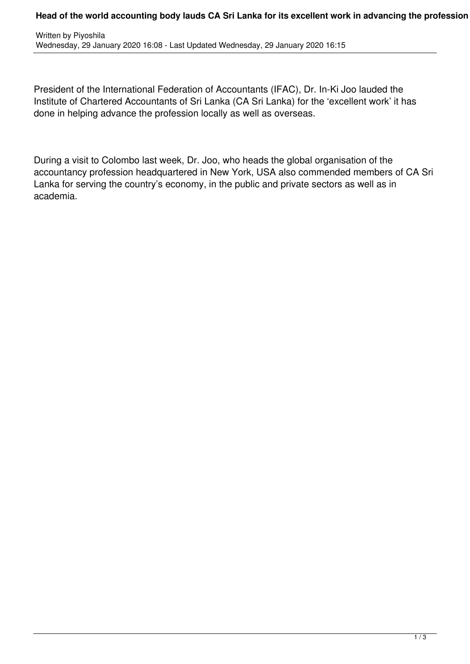## **Head of the world accounting body lauds CA Sri Lanka for its excellent work in advancing the profession**

President of the International Federation of Accountants (IFAC), Dr. In-Ki Joo lauded the Institute of Chartered Accountants of Sri Lanka (CA Sri Lanka) for the 'excellent work' it has done in helping advance the profession locally as well as overseas.

During a visit to Colombo last week, Dr. Joo, who heads the global organisation of the accountancy profession headquartered in New York, USA also commended members of CA Sri Lanka for serving the country's economy, in the public and private sectors as well as in academia.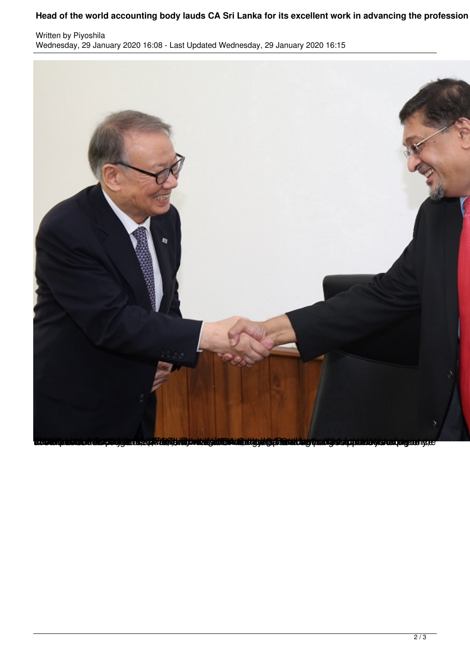## **Head of the world accounting body lauds CA Sri Lanka for its excellent work in advancing the profession**

Written by Piyoshila Wednesday, 29 January 2020 16:08 - Last Updated Wednesday, 29 January 2020 16:15